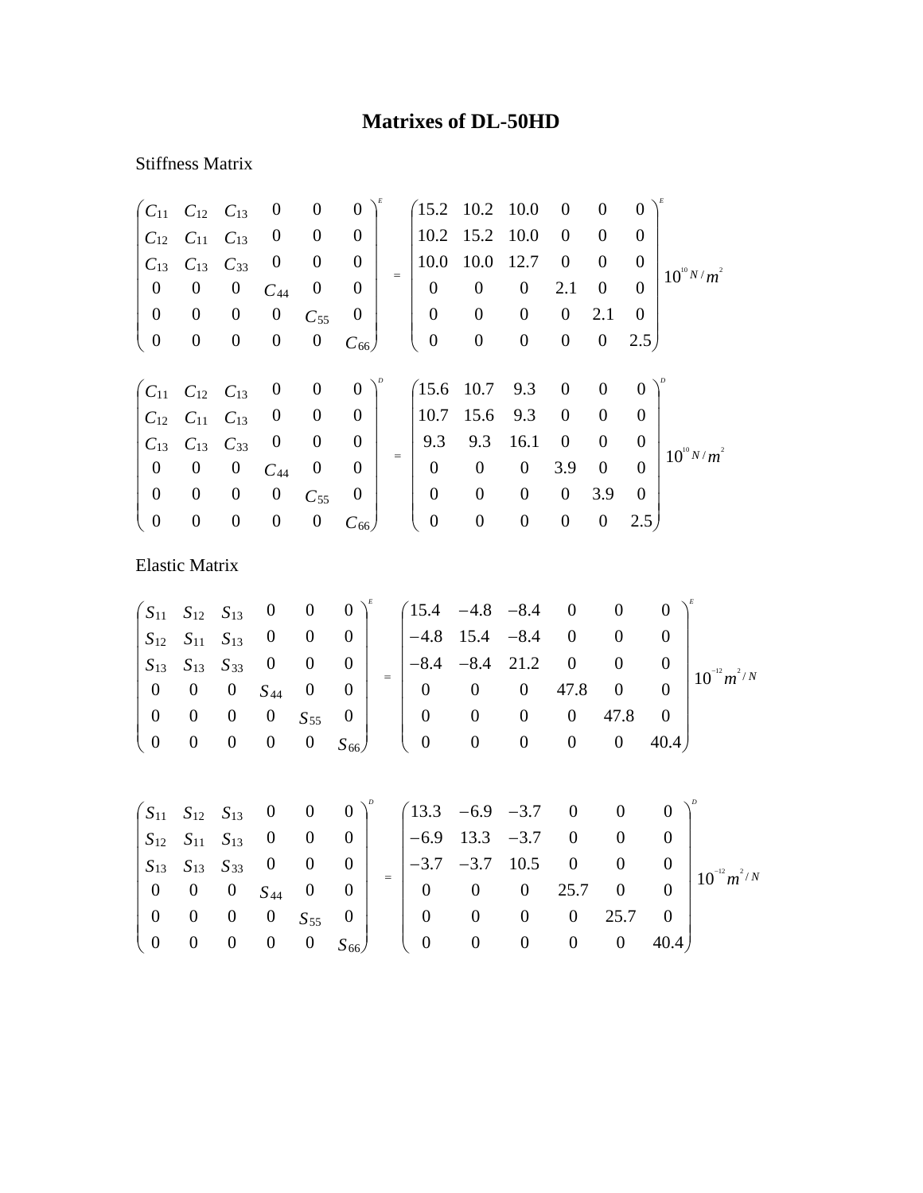## **Matrixes of DL-50HD**

## Stiffness Matrix

| $C_{11}$         | $C_{12}$              | $C_{13}$         | $\boldsymbol{0}$ | $\boldsymbol{0}$ | $\boldsymbol{0}$ |     | 15.2             | 10.2             | 10.0             | $\boldsymbol{0}$ | $\overline{0}$   | $\overline{0}$   |                                      |
|------------------|-----------------------|------------------|------------------|------------------|------------------|-----|------------------|------------------|------------------|------------------|------------------|------------------|--------------------------------------|
| $C_{12}$         | $C_{11}$              | $C_{13}$         | $\boldsymbol{0}$ | $\boldsymbol{0}$ | $\boldsymbol{0}$ |     | 10.2             | 15.2             | 10.0             | $\boldsymbol{0}$ | $\boldsymbol{0}$ | $\boldsymbol{0}$ |                                      |
| $C_{13}$         | $C_{13}$              | $C_{33}$         | $\boldsymbol{0}$ | $\boldsymbol{0}$ | $\boldsymbol{0}$ |     | 10.0             | 10.0             | 12.7             | $\boldsymbol{0}$ | $\overline{0}$   | $\overline{0}$   |                                      |
| $\boldsymbol{0}$ | $\boldsymbol{0}$      | $\boldsymbol{0}$ | $C_{44}$         | $\boldsymbol{0}$ | $\boldsymbol{0}$ | $=$ | $\boldsymbol{0}$ | $\overline{0}$   | $\mathbf{0}$     | 2.1              | $\boldsymbol{0}$ | $\overline{0}$   | $10^{10} N/m^2$                      |
| $\boldsymbol{0}$ | $\boldsymbol{0}$      | $\boldsymbol{0}$ | $\boldsymbol{0}$ | $C_{55}$         | $\boldsymbol{0}$ |     | $\boldsymbol{0}$ | $\overline{0}$   | $\mathbf{0}$     | $\boldsymbol{0}$ | 2.1              | $\boldsymbol{0}$ |                                      |
| $\boldsymbol{0}$ | $\boldsymbol{0}$      | $\boldsymbol{0}$ | $\boldsymbol{0}$ | $\boldsymbol{0}$ | $C_{66}$         |     | $\boldsymbol{0}$ | $\boldsymbol{0}$ | $\boldsymbol{0}$ | $\boldsymbol{0}$ | $\boldsymbol{0}$ | 2.5)             |                                      |
|                  |                       |                  |                  |                  |                  |     |                  |                  |                  |                  |                  |                  |                                      |
| $C_{11}$         | $C_{12}$              | $C_{13}$         | $\boldsymbol{0}$ | $\boldsymbol{0}$ | $\boldsymbol{0}$ |     | (15.6)           | 10.7             | 9.3              | $\boldsymbol{0}$ | $\boldsymbol{0}$ | $\overline{0}$   |                                      |
| $C_{12}$         | $C_{11}$              | $C_{13}$         | $\boldsymbol{0}$ | $\boldsymbol{0}$ | $\boldsymbol{0}$ |     | 10.7             | 15.6             | 9.3              | $\boldsymbol{0}$ | $\boldsymbol{0}$ | $\overline{0}$   |                                      |
| $C_{13}$         | $C_{13}$              | $C_{33}$         | $\boldsymbol{0}$ | $\boldsymbol{0}$ | $\boldsymbol{0}$ | $=$ | 9.3              | 9.3              | 16.1             | $\boldsymbol{0}$ | $\boldsymbol{0}$ | $\boldsymbol{0}$ | $10^{10} N/m^2$                      |
| $\boldsymbol{0}$ | $\boldsymbol{0}$      | $\boldsymbol{0}$ | $C_{44}$         | $\boldsymbol{0}$ | $\boldsymbol{0}$ |     | $\boldsymbol{0}$ | $\boldsymbol{0}$ | $\boldsymbol{0}$ | 3.9              | $\boldsymbol{0}$ | $\theta$         |                                      |
| $\boldsymbol{0}$ | $\boldsymbol{0}$      | $\boldsymbol{0}$ | $\boldsymbol{0}$ | $C_{55}$         | $\boldsymbol{0}$ |     | $\boldsymbol{0}$ | $\boldsymbol{0}$ | $\boldsymbol{0}$ | $\boldsymbol{0}$ | 3.9              | $\overline{0}$   |                                      |
| $\boldsymbol{0}$ | $\boldsymbol{0}$      | $\boldsymbol{0}$ | $\boldsymbol{0}$ | $\boldsymbol{0}$ | $C_{66}$         |     | $\boldsymbol{0}$ | $\boldsymbol{0}$ | $\boldsymbol{0}$ | $\boldsymbol{0}$ | $\boldsymbol{0}$ | 2.5)             |                                      |
|                  | <b>Elastic Matrix</b> |                  |                  |                  |                  |     |                  |                  |                  |                  |                  |                  |                                      |
| $S_{11}$         | $S_{12}$              | $S_{13}$         | $\boldsymbol{0}$ | $\boldsymbol{0}$ | $\boldsymbol{0}$ |     | 15.4             | $-4.8$           | $-8.4$           | $\overline{0}$   | $\boldsymbol{0}$ |                  | $\theta$                             |
| $S_{12}$         | $S_{11}$              | $S_{13}$         | $\boldsymbol{0}$ | $\boldsymbol{0}$ | $\boldsymbol{0}$ |     | $-4.8$           | 15.4             | $-8.4$           | $\boldsymbol{0}$ | $\boldsymbol{0}$ |                  | $\boldsymbol{0}$                     |
| $S_{13}$         | $S_{13}$              | $S_{33}$         | $\boldsymbol{0}$ | $\boldsymbol{0}$ | $\boldsymbol{0}$ |     | $-8.4$           | $-8.4$           | 21.2             | $\boldsymbol{0}$ | $\boldsymbol{0}$ |                  | $\boldsymbol{0}$                     |
| $\boldsymbol{0}$ | $\boldsymbol{0}$      | $\boldsymbol{0}$ | $S_{44}$         | $\boldsymbol{0}$ | $\boldsymbol{0}$ | $=$ | $\boldsymbol{0}$ | $\boldsymbol{0}$ | $\boldsymbol{0}$ | 47.8             | $\boldsymbol{0}$ |                  | $10^{-12} m^2/N$<br>$\boldsymbol{0}$ |
| $\boldsymbol{0}$ | $\boldsymbol{0}$      | $\boldsymbol{0}$ | $\boldsymbol{0}$ | $S_{55}$         | $\boldsymbol{0}$ |     | $\boldsymbol{0}$ | $\boldsymbol{0}$ | $\boldsymbol{0}$ | $\boldsymbol{0}$ | 47.8             |                  | $\boldsymbol{0}$                     |

*S* 66 55 0 0 0 0 0 40.4 0 0 0 0 0  $\begin{array}{c} \hline \end{array}$  $\begin{pmatrix} 0 & 0 & 0 & 0 & 47.8 & 0 \\ 0 & 0 & 0 & 0 & 0 & 40.4 \end{pmatrix}$  $\begin{array}{c} \hline \end{array}$  $\begin{pmatrix} 0 & 0 & 0 & 0 & S_{55} & 0 \\ 0 & 0 & 0 & 0 & 0 & S_{66} \end{pmatrix}$ ⎝

| $\begin{vmatrix} S_{13} & S_{13} & S_{33} & 0 & 0 & 0 \ 0 & 0 & 0 & S_{44} & 0 & 0 \end{vmatrix} = \begin{vmatrix} -3.7 & -3.7 & 10.5 & 0 & 0 & 0 \ 0 & 0 & 0 & 25.7 & 0 & 0 \end{vmatrix}$<br>$25.7\ 0$<br>$\overline{0}$<br>(0, 40.4)<br>$S_{66}$ (0 0 0 |  |  |  |  |  | $\begin{pmatrix} S_{11} & S_{12} & S_{13} & 0 & 0 & 0 \end{pmatrix}^p$ $\begin{pmatrix} 13.3 & -6.9 & -3.7 & 0 & 0 & 0 \end{pmatrix}^p$ |                                        |  |                  |
|------------------------------------------------------------------------------------------------------------------------------------------------------------------------------------------------------------------------------------------------------------|--|--|--|--|--|-----------------------------------------------------------------------------------------------------------------------------------------|----------------------------------------|--|------------------|
|                                                                                                                                                                                                                                                            |  |  |  |  |  |                                                                                                                                         |                                        |  | $10^{-12} m^2/N$ |
|                                                                                                                                                                                                                                                            |  |  |  |  |  |                                                                                                                                         |                                        |  |                  |
|                                                                                                                                                                                                                                                            |  |  |  |  |  |                                                                                                                                         | $\begin{array}{ccc} & & 0 \end{array}$ |  |                  |